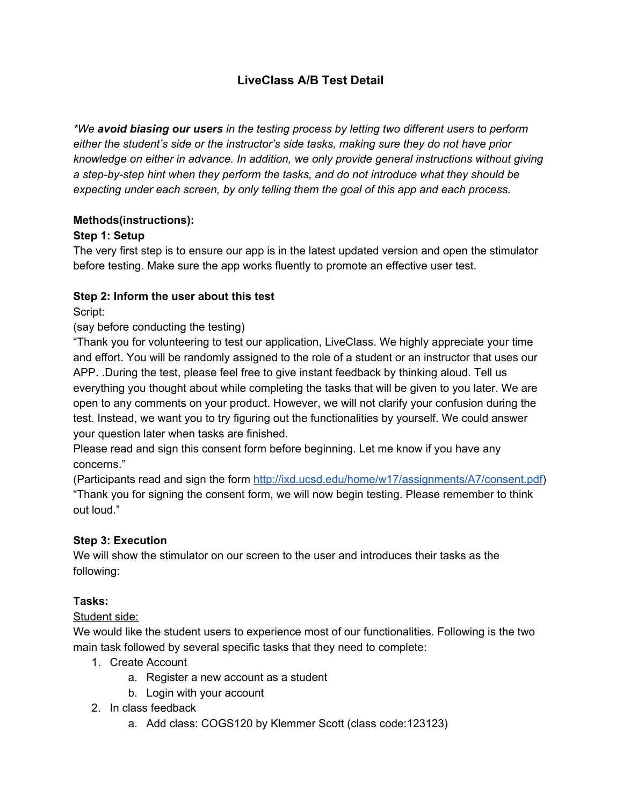# **LiveClass A/B Test Detail**

*\*We avoid biasing our users in the testing process by letting two different users to perform either the student's side or the instructor's side tasks, making sure they do not have prior knowledge on either in advance. In addition, we only provide general instructions without giving a step-by-step hint when they perform the tasks, and do not introduce what they should be expecting under each screen, by only telling them the goal of this app and each process.*

## **Methods(instructions):**

## **Step 1: Setup**

The very first step is to ensure our app is in the latest updated version and open the stimulator before testing. Make sure the app works fluently to promote an effective user test.

## **Step 2: Inform the user about this test**

Script:

(say before conducting the testing)

"Thank you for volunteering to test our application, LiveClass. We highly appreciate your time and effort. You will be randomly assigned to the role of a student or an instructor that uses our APP. .During the test, please feel free to give instant feedback by thinking aloud. Tell us everything you thought about while completing the tasks that will be given to you later. We are open to any comments on your product. However, we will not clarify your confusion during the test. Instead, we want you to try figuring out the functionalities by yourself. We could answer your question later when tasks are finished.

Please read and sign this consent form before beginning. Let me know if you have any concerns."

(Participants read and sign the form <http://ixd.ucsd.edu/home/w17/assignments/A7/consent.pdf>) "Thank you for signing the consent form, we will now begin testing. Please remember to think out loud."

## **Step 3: Execution**

We will show the stimulator on our screen to the user and introduces their tasks as the following:

## **Tasks:**

## Student side:

We would like the student users to experience most of our functionalities. Following is the two main task followed by several specific tasks that they need to complete:

- 1. Create Account
	- a. Register a new account as a student
	- b. Login with your account
- 2. In class feedback
	- a. Add class: COGS120 by Klemmer Scott (class code:123123)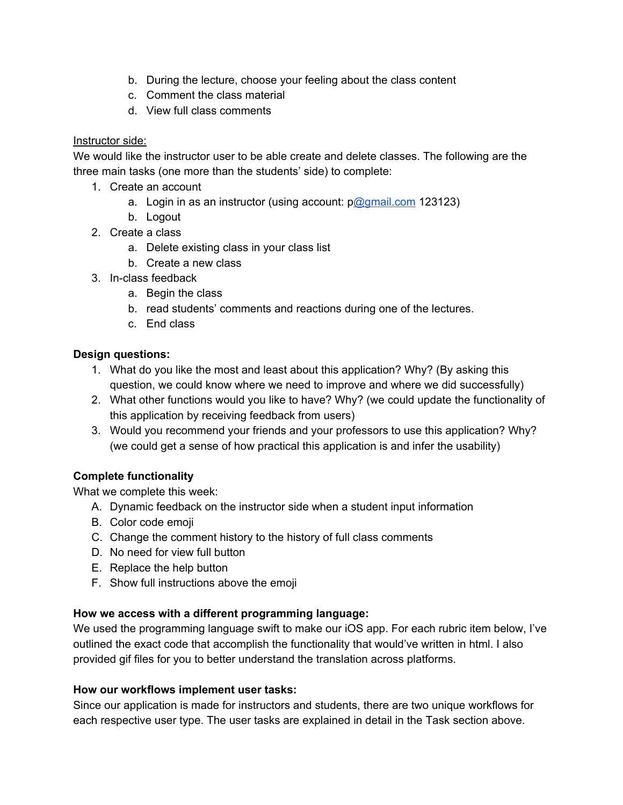- b. During the lecture, choose your feeling about the class content
- c. Comment the class material
- d. View full class comments

### Instructor side:

We would like the instructor user to be able create and delete classes. The following are the three main tasks (one more than the students' side) to complete:

- 1. Create an account
	- a. Login in as an instructor (using account:  $pQg$ gmail.com 123123)
	- b. Logout
- 2. Create a class
	- a. Delete existing class in your class list
	- b. Create a new class
- 3. In-class feedback
	- a. Begin the class
	- b. read students' comments and reactions during one of the lectures.
	- c. End class

#### **Design questions:**

- 1. What do you like the most and least about this application? Why? (By asking this question, we could know where we need to improve and where we did successfully)
- 2. What other functions would you like to have? Why? (we could update the functionality of this application by receiving feedback from users)
- 3. Would you recommend your friends and your professors to use this application? Why? (we could get a sense of how practical this application is and infer the usability)

## **Complete functionality**

What we complete this week:

- A. Dynamic feedback on the instructor side when a student input information
- B. Color code emoji
- C. Change the comment history to the history of full class comments
- D. No need for view full button
- E. Replace the help button
- F. Show full instructions above the emoji

#### **How we access with a different programming language:**

We used the programming language swift to make our iOS app. For each rubric item below, I've outlined the exact code that accomplish the functionality that would've written in html. I also provided gif files for you to better understand the translation across platforms.

#### **How our workflows implement user tasks:**

Since our application is made for instructors and students, there are two unique workflows for each respective user type. The user tasks are explained in detail in the Task section above.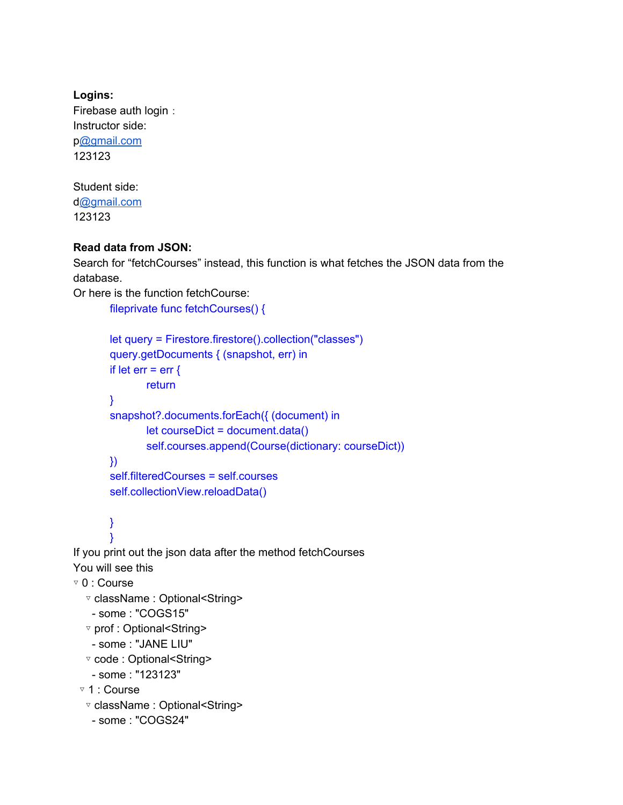**Logins:** Firebase auth login: Instructor side: [p@gmail.com](mailto:damon@gmail.com) 123123

Student side: [d@gmail.com](mailto:jay@gmail.com) 123123

## **Read data from JSON:**

Search for "fetchCourses" instead, this function is what fetches the JSON data from the database.

```
Or here is the function fetchCourse:
```

```
fileprivate func fetchCourses() {
```

```
let query = Firestore.firestore().collection("classes")
query.getDocuments { (snapshot, err) in
if let err = err \{return
}
snapshot?.documents.forEach({ (document) in
       let courseDict = document.data()
       self.courses.append(Course(dictionary: courseDict))
})
self.filteredCourses = self.courses
self.collectionView.reloadData()
```
#### } }

If you print out the json data after the method fetchCourses You will see this

```
▿ 0 : Course
```

```
▿ className : Optional<String>
```

```
- some : "COGS15"
```

```
▿ prof : Optional<String>
```

```
- some : "JANE LIU"
```

```
▿ code : Optional<String>
```

```
- some : "123123"
```

```
▿ 1 : Course
```

```
▿ className : Optional<String>
```

```
- some : "COGS24"
```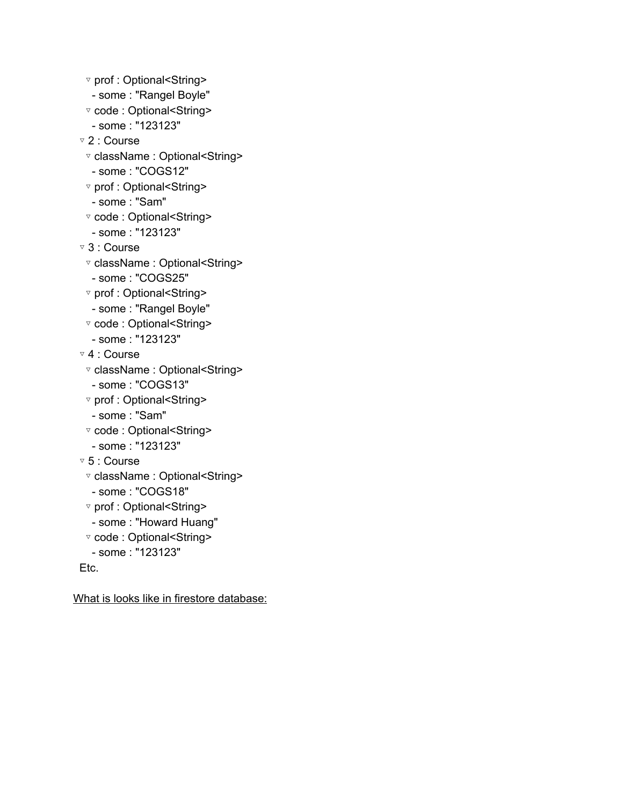- ▿ prof : Optional<String>
- some : "Rangel Boyle"
- ▿ code : Optional<String>
- some : "123123"
- ▿ 2 : Course
- ▿ className : Optional<String>
- some : "COGS12"
- ▿ prof : Optional<String>
- some : "Sam"
- ▿ code : Optional<String>
- some : "123123"
- ▿ 3 : Course
- ▿ className : Optional<String>
- some : "COGS25"
- ▿ prof : Optional<String>
- some : "Rangel Boyle"
- ▿ code : Optional<String>
- some : "123123"
- ▿ 4 : Course
- ▿ className : Optional<String>
- some : "COGS13"
- ▿ prof : Optional<String>
- some : "Sam"
- ▿ code : Optional<String>
- some : "123123"
- ▿ 5 : Course
- ▿ className : Optional<String>
- some : "COGS18"
- ▿ prof : Optional<String>
- some : "Howard Huang"
- ▿ code : Optional<String>
- some : "123123"

Etc.

What is looks like in firestore database: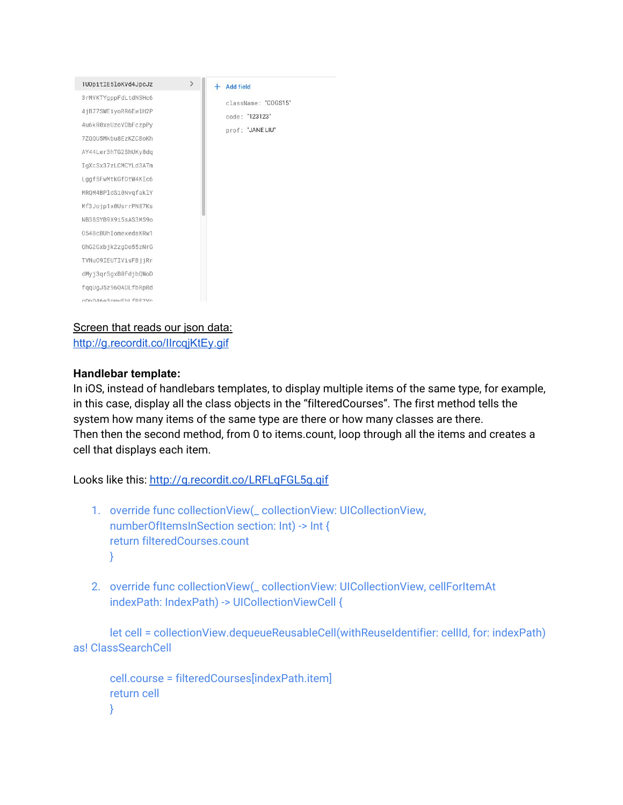

### Screen that reads our json data:

<http://g.recordit.co/IIrcqjKtEy.gif>

### **Handlebar template:**

In iOS, instead of handlebars templates, to display multiple items of the same type, for example, in this case, display all the class objects in the "filteredCourses". The first method tells the system how many items of the same type are there or how many classes are there. Then then the second method, from 0 to items.count, loop through all the items and creates a cell that displays each item.

Looks like this: <http://g.recordit.co/LRFLqFGL5g.gif>

- 1. override func collectionView(\_ collectionView: UICollectionView, numberOfItemsInSection section: Int) -> Int { return filteredCourses.count }
- 2. override func collectionView(\_ collectionView: UICollectionView, cellForItemAt indexPath: IndexPath) -> UICollectionViewCell {

let cell = collectionView.dequeueReusableCell(withReuseIdentifier: cellId, for: indexPath) as! ClassSearchCell

```
cell.course = filteredCourses[indexPath.item]
return cell
}
```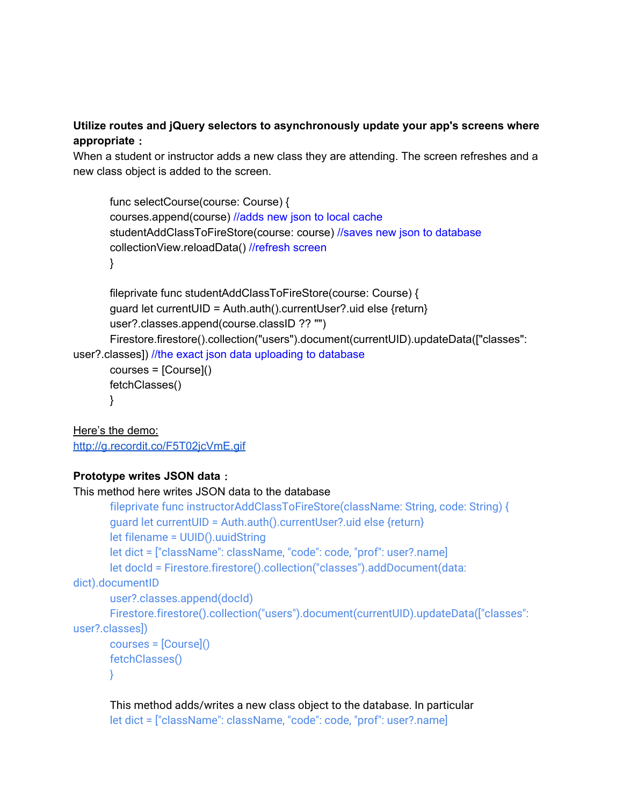## **Utilize routes and jQuery selectors to asynchronously update your app's screens where appropriate**:

When a student or instructor adds a new class they are attending. The screen refreshes and a new class object is added to the screen.

```
func selectCourse(course: Course) {
courses.append(course) //adds new json to local cache
studentAddClassToFireStore(course: course) //saves new json to database
collectionView.reloadData() //refresh screen
}
```

```
fileprivate func studentAddClassToFireStore(course: Course) {
       guard let currentUID = Auth.auth().currentUser?.uid else {return}
       user?.classes.append(course.classID ?? "")
       Firestore.firestore().collection("users").document(currentUID).updateData(["classes":
user?.classes]) //the exact json data uploading to database
```

```
courses = [Course]()
fetchClasses()
}
```
Here's the demo: <http://g.recordit.co/F5T02jcVmE.gif>

## **Prototype writes JSON data**:

```
This method here writes JSON data to the database
       fileprivate func instructorAddClassToFireStore(className: String, code: String) {
       guard let currentUID = Auth.auth().currentUser?.uid else {return}
       let filename = UUID().uuidString
       let dict = ["className": className, "code": code, "prof": user?.name]
       let docId = Firestore.firestore().collection("classes").addDocument(data:
dict).documentID
       user?.classes.append(docId)
       Firestore.firestore().collection("users").document(currentUID).updateData(["classes":
user?.classes])
       courses = [Course]()
       fetchClasses()
       }
```
This method adds/writes a new class object to the database. In particular let dict = ["className": className, "code": code, "prof": user?.name]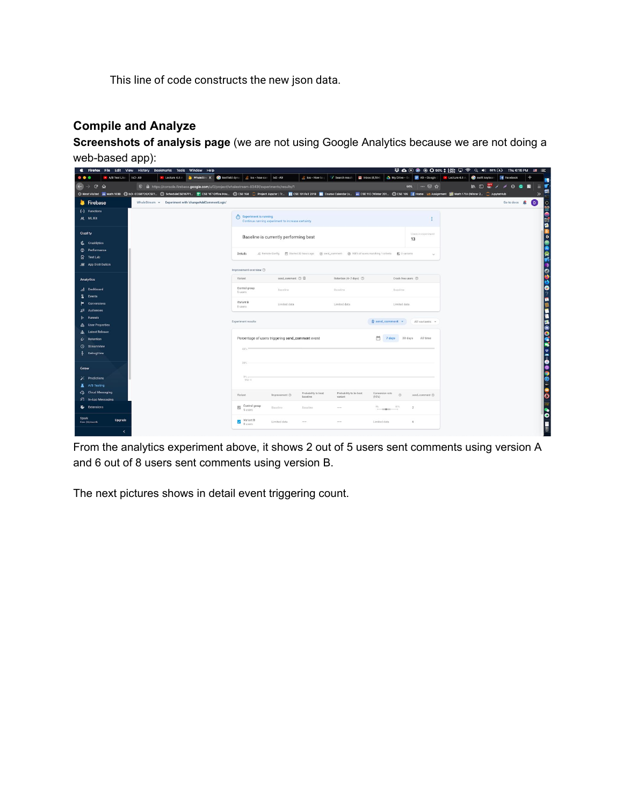This line of code constructs the new json data.

## **Compile and Analyze**

**Screenshots of analysis page** (we are not using Google Analytics because we are not doing a web-based app):

| Firefox File Edit View History Bookmarks Tools Window Help<br>۰             |                                                                                                |                                                                                                        |                        |                                                |                           | # ΔΘ® წΟ98%; & % Ω ? Q (0) 66% ED Thu6:16 PM . ⊟ : E |                                                                         |                         |
|-----------------------------------------------------------------------------|------------------------------------------------------------------------------------------------|--------------------------------------------------------------------------------------------------------|------------------------|------------------------------------------------|---------------------------|------------------------------------------------------|-------------------------------------------------------------------------|-------------------------|
| · A/B Test Like<br>$DCD - AB$<br>• Lecture 4.8 A<br>$\bullet\bullet\bullet$ | WhaleStre X @ textfield dyna<br>the bos-how can bob - A9                                       | ios - How to                                                                                           |                        | Search result: M Inbox (8,184) A My Drive - Go | A9 - Google               | swift keyboar<br>Decture 4.8                         | <b>f</b> Facebook                                                       | ٠<br>F.                 |
| $\leftarrow$<br>$C$ $\hat{M}$<br>$\rightarrow$                              | 1/9 mm https://console.firebase.google.com/u/0/project/whalestream-8343f/experiments/results/1 |                                                                                                        |                        |                                                | 90% … 図 ☆                 |                                                      | $\mathbb{I} \cap \mathbb{S}^n \times \mathbb{R} \rightarrow \mathbb{R}$ | $\equiv$ $\blacksquare$ |
|                                                                             |                                                                                                |                                                                                                        |                        |                                                |                           |                                                      |                                                                         | 튼<br>$\gg$              |
| Firebase<br>WhaleStream > Experiment with 'changeAddCommentLogic'           |                                                                                                |                                                                                                        |                        |                                                |                           |                                                      | Go to docs                                                              | $\bullet$               |
| (-) Functions                                                               |                                                                                                |                                                                                                        |                        |                                                |                           |                                                      |                                                                         | $\frac{1}{2}$           |
| <b>M.</b> ML Kit                                                            | $(i)$ Experiment is running                                                                    | Continue running experiment to increase certainty                                                      |                        |                                                | Ŧ                         |                                                      |                                                                         | 阿<br>ø                  |
| Quality                                                                     |                                                                                                | Baseline is currently performing best                                                                  |                        |                                                | Users in experiment<br>13 |                                                      |                                                                         | IC<br>$\frac{4}{6}$     |
| 長 Crashlytics                                                               |                                                                                                |                                                                                                        |                        |                                                |                           |                                                      |                                                                         |                         |
| <sup>@</sup> Performance                                                    | Details                                                                                        | 只 Remote Config 图 Started 22 hours ago ④ send_comment @ 100% of users matching 1 criteria 图 2 variants |                        |                                                | $\sim$                    |                                                      |                                                                         | B                       |
| E Test Lab                                                                  |                                                                                                |                                                                                                        |                        |                                                |                           |                                                      |                                                                         |                         |
| 图 App Distribution                                                          | Improvement overview (?)                                                                       |                                                                                                        |                        |                                                |                           |                                                      |                                                                         | $\frac{1}{2}$           |
| <b>Analytics</b>                                                            | Variant                                                                                        | send comment (?) 2                                                                                     | Retention (4-7 days) 3 | Crash-free users (2)                           |                           |                                                      |                                                                         | ٠                       |
| <b>Dashboard</b>                                                            | Control group                                                                                  | Baseline.                                                                                              | Baseline               | Baseline                                       |                           |                                                      |                                                                         | €                       |
| Events                                                                      | 5 users                                                                                        |                                                                                                        |                        |                                                |                           |                                                      |                                                                         | $\overline{2}$          |
| Conversions                                                                 | Variant B<br>8 users                                                                           | Limited data                                                                                           | Limited data           | Limited data                                   |                           |                                                      |                                                                         | T<br>e                  |
| 距<br><b>Audiences</b>                                                       |                                                                                                |                                                                                                        |                        |                                                |                           |                                                      |                                                                         | г                       |
| <b>Funnels</b>                                                              | Experiment results                                                                             |                                                                                                        |                        | $Q$ send_comment $\sim$                        | All variants v            |                                                      |                                                                         |                         |
| <b>User Properties</b>                                                      |                                                                                                |                                                                                                        |                        |                                                |                           |                                                      |                                                                         |                         |
| <b>Latest Release</b>                                                       |                                                                                                |                                                                                                        |                        |                                                |                           |                                                      |                                                                         |                         |
| Retention<br>Ù                                                              |                                                                                                | Percentage of users triggering send_comment event                                                      |                        | 然<br>30 days<br>7 days                         | All time                  |                                                      |                                                                         |                         |
| StreamView<br>⊙                                                             | 40%                                                                                            |                                                                                                        |                        |                                                |                           |                                                      |                                                                         |                         |
| DebugView                                                                   |                                                                                                |                                                                                                        |                        |                                                |                           |                                                      |                                                                         |                         |
| Grow                                                                        | 20%                                                                                            |                                                                                                        |                        |                                                |                           |                                                      |                                                                         |                         |
| Predictions<br>Þ.                                                           | 0% m<br>Mar 4                                                                                  |                                                                                                        |                        |                                                |                           |                                                      |                                                                         |                         |
| A/B Testing<br>x                                                            |                                                                                                |                                                                                                        |                        |                                                |                           |                                                      |                                                                         |                         |
| Coud Messaging                                                              | Variant                                                                                        | Probability to beat<br>Improvement (?)                                                                 | Probability to be best | Conversion rate<br>$\sigma$                    | send_comment (?)          |                                                      |                                                                         |                         |
| > In-App Messaging                                                          |                                                                                                | baseline                                                                                               | variant                | (95%)                                          |                           |                                                      |                                                                         | ø                       |
| & Extensions                                                                | Control group<br>5 users                                                                       | Baseline<br>Baseline                                                                                   |                        | 81%<br>$25 -$<br><b>START</b>                  | $\overline{2}$            |                                                      |                                                                         |                         |
| Spark<br>Upgrade<br>Free \$0/month                                          | Variant B<br>8 users                                                                           | Limited data<br>$\sim$                                                                                 |                        | Limited data                                   | 6                         |                                                      |                                                                         |                         |
| k                                                                           |                                                                                                |                                                                                                        |                        |                                                |                           |                                                      |                                                                         |                         |

From the analytics experiment above, it shows 2 out of 5 users sent comments using version A and 6 out of 8 users sent comments using version B.

The next pictures shows in detail event triggering count.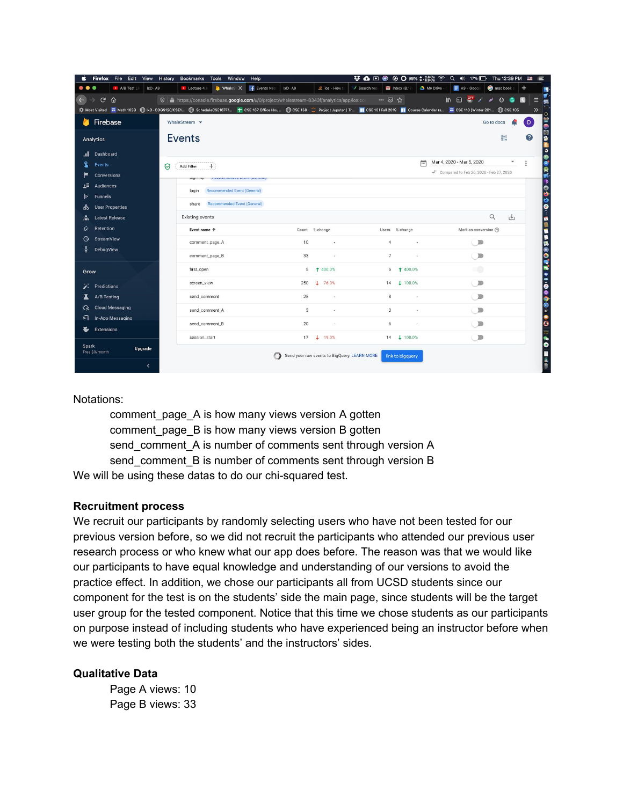|              | Firefox<br>File Edit   | View                          | History<br>Bookmarks                                                                                | <b>Tools</b><br>Window      | Help                   |            |                                              |               |                  |            | 梦 △□● 多 ○99% ‡ 7% □                       |                | Thu 12:39 PM | ≔                    |
|--------------|------------------------|-------------------------------|-----------------------------------------------------------------------------------------------------|-----------------------------|------------------------|------------|----------------------------------------------|---------------|------------------|------------|-------------------------------------------|----------------|--------------|----------------------|
| $\bullet$    |                        | A/B Test Li<br>$IXD \cdot A9$ | $\blacktriangleright$ Lecture 4.8                                                                   |                             | WhaleS: X F Events Nea | $IXD - A9$ | d ios - How 1                                | / Search rest | Inbox $(8,18)$   | My Drive - | $\equiv$ A9 - Google                      | mac book       | $\,^+$       | 围                    |
| $\leftarrow$ | $\mathbf{C}$<br>⇧      |                               | 10 <b>A</b> https://console.firebase.google.com/u/0/project/whalestream-8343f/analytics/app/ios:com |                             |                        |            |                                              |               | … ⊘ ☆            |            | $\mathbb{R}$                              | 0 <sub>o</sub> | 图            | v.<br>Е<br>富         |
|              |                        |                               |                                                                                                     |                             |                        |            |                                              |               |                  |            |                                           |                |              | $\gg$<br>O           |
|              | Firebase               |                               | WhaleStream v                                                                                       |                             |                        |            |                                              |               |                  |            |                                           | Go to docs     |              | is<br>O<br>D.        |
|              | <b>Analytics</b>       |                               | <b>Events</b>                                                                                       |                             |                        |            |                                              |               |                  |            |                                           | 带              |              | ◎◎◎●☆<br>2           |
| .ıl          | Dashboard              |                               |                                                                                                     |                             |                        |            |                                              |               |                  |            |                                           |                |              | 8                    |
|              | <b>Events</b>          |                               | ♡<br>Add Filter                                                                                     |                             |                        |            |                                              |               |                  | 严          | Mar 4, 2020 - Mar 5, 2020                 |                |              |                      |
|              | <b>Conversions</b>     |                               |                                                                                                     |                             |                        |            |                                              |               |                  |            | + Compared to Feb 26, 2020 - Feb 27, 2020 |                |              | SRESSONG             |
| £Ξ           | <b>Audiences</b>       |                               | login                                                                                               | Recommended Event (General) |                        |            |                                              |               |                  |            |                                           |                |              |                      |
|              | <b>Funnels</b>         |                               |                                                                                                     |                             |                        |            |                                              |               |                  |            |                                           |                |              |                      |
| ᅇ            | <b>User Properties</b> |                               | share                                                                                               | Recommended Event (General) |                        |            |                                              |               |                  |            |                                           |                |              |                      |
|              | <b>Latest Release</b>  |                               | <b>Existing events</b>                                                                              |                             |                        |            |                                              |               |                  |            |                                           | Q              | 也            |                      |
| i            | Retention              |                               |                                                                                                     | Event name 个                |                        |            | Count % change                               |               | Users % change   |            | Mark as conversion (?)                    |                |              |                      |
| ৩            | <b>StreamView</b>      |                               |                                                                                                     | comment_page_A              |                        | 10         |                                              |               | $\overline{4}$   |            | $\big($ $\big)$                           |                |              |                      |
|              | DebugView              |                               |                                                                                                     | comment_page_B              |                        | 33         | ×                                            |               | $\overline{7}$   |            | $\bigcirc$                                |                |              |                      |
| Grow         |                        |                               | first_open                                                                                          |                             |                        | 5          | ↑ 400.0%                                     |               | 5                | 1 400.0%   | aû                                        |                |              | MINSOCOCHUTOOOOOOOOO |
|              | <b>Predictions</b>     |                               |                                                                                                     | screen_view                 |                        | 250        | 176.0%                                       |               | 14               | $+ 100.0%$ | $\Box$                                    |                |              |                      |
|              | A/B Testing            |                               |                                                                                                     | send_comment                |                        | 25         |                                              |               | $\boldsymbol{8}$ |            | $\sum$                                    |                |              |                      |
| ↷            | <b>Cloud Messaging</b> |                               |                                                                                                     | send_comment_A              |                        | 3          |                                              |               | $\overline{3}$   |            | $\Box$                                    |                |              |                      |
| รา           | In-App Messaging       |                               |                                                                                                     |                             |                        |            |                                              |               |                  |            |                                           |                |              |                      |
| Ł            | <b>Extensions</b>      |                               |                                                                                                     | send_comment_B              |                        | 20         |                                              |               | 6                |            | $\Box$                                    |                |              |                      |
|              |                        |                               |                                                                                                     | session_start               |                        |            | 17   19.0%                                   |               | 14               | $+ 100.0%$ | $\bigcirc$                                |                |              |                      |
| <b>Spark</b> | Free \$0/month         | Upgrade                       |                                                                                                     |                             |                        |            | Send your raw events to BigQuery. LEARN MORE |               | link to bigquery |            |                                           |                |              |                      |
|              |                        | $\overline{\phantom{a}}$      |                                                                                                     |                             |                        |            |                                              |               |                  |            |                                           |                |              |                      |
|              |                        |                               |                                                                                                     |                             |                        |            |                                              |               |                  |            |                                           |                |              |                      |

Notations:

comment page A is how many views version A gotten comment\_page\_B is how many views version B gotten send\_comment\_A is number of comments sent through version A send\_comment\_B is number of comments sent through version B We will be using these datas to do our chi-squared test.

#### **Recruitment process**

We recruit our participants by randomly selecting users who have not been tested for our previous version before, so we did not recruit the participants who attended our previous user research process or who knew what our app does before. The reason was that we would like our participants to have equal knowledge and understanding of our versions to avoid the practice effect. In addition, we chose our participants all from UCSD students since our component for the test is on the students' side the main page, since students will be the target user group for the tested component. Notice that this time we chose students as our participants on purpose instead of including students who have experienced being an instructor before when we were testing both the students' and the instructors' sides.

#### **Qualitative Data**

Page A views: 10 Page B views: 33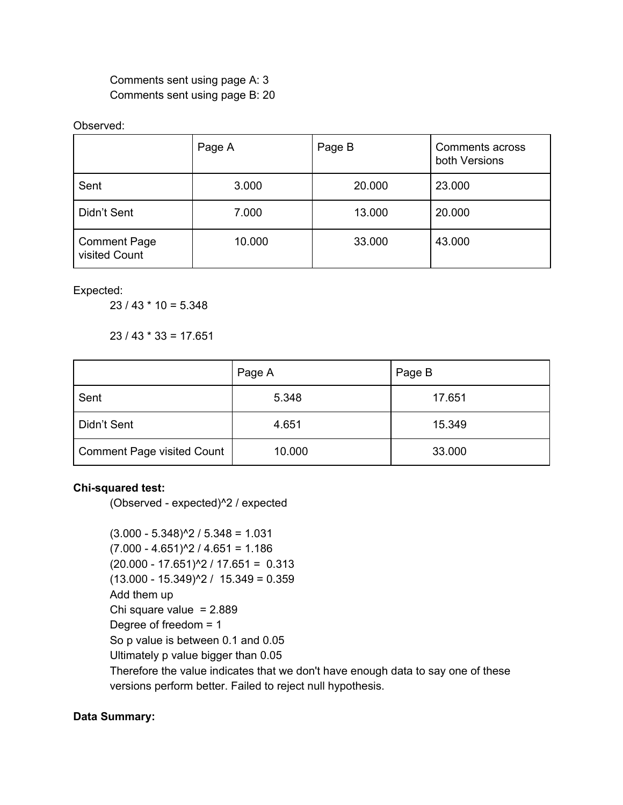Comments sent using page A: 3 Comments sent using page B: 20

#### Observed:

|                                      | Page A | Page B | Comments across<br>both Versions |
|--------------------------------------|--------|--------|----------------------------------|
| Sent                                 | 3.000  | 20.000 | 23.000                           |
| Didn't Sent                          | 7.000  | 13.000 | 20.000                           |
| <b>Comment Page</b><br>visited Count | 10.000 | 33.000 | 43.000                           |

Expected:

23 / 43 \* 10 = 5.348

 $23 / 43 * 33 = 17.651$ 

|                                   | Page A | Page B |
|-----------------------------------|--------|--------|
| Sent                              | 5.348  | 17.651 |
| Didn't Sent                       | 4.651  | 15.349 |
| <b>Comment Page visited Count</b> | 10.000 | 33.000 |

## **Chi-squared test:**

(Observed - expected)^2 / expected

 $(3.000 - 5.348)^{2}$  / 5.348 = 1.031  $(7.000 - 4.651)^{2}/ 4.651 = 1.186$  $(20.000 - 17.651)^{2}$  / 17.651 = 0.313  $(13.000 - 15.349)^{2}$  /  $15.349 = 0.359$ Add them up Chi square value  $= 2.889$ Degree of freedom = 1 So p value is between 0.1 and 0.05 Ultimately p value bigger than 0.05 Therefore the value indicates that we don't have enough data to say one of these versions perform better. Failed to reject null hypothesis.

## **Data Summary:**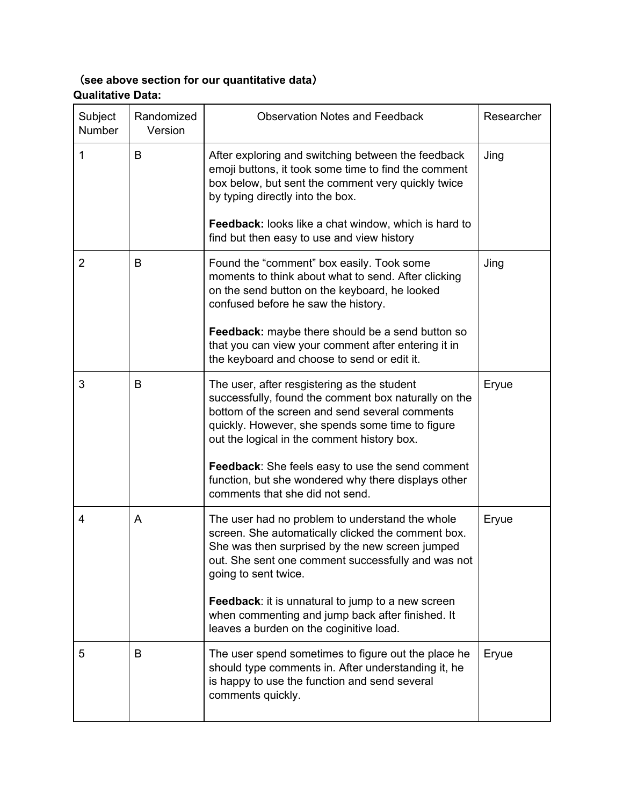## (**see above section for our quantitative data**) **Qualitative Data:**

| Subject<br>Number | Randomized<br>Version | <b>Observation Notes and Feedback</b>                                                                                                                                                                                                                    | Researcher |
|-------------------|-----------------------|----------------------------------------------------------------------------------------------------------------------------------------------------------------------------------------------------------------------------------------------------------|------------|
| 1                 | B                     | After exploring and switching between the feedback<br>emoji buttons, it took some time to find the comment<br>box below, but sent the comment very quickly twice<br>by typing directly into the box.                                                     | Jing       |
|                   |                       | Feedback: looks like a chat window, which is hard to<br>find but then easy to use and view history                                                                                                                                                       |            |
| $\overline{2}$    | B                     | Found the "comment" box easily. Took some<br>moments to think about what to send. After clicking<br>on the send button on the keyboard, he looked<br>confused before he saw the history.                                                                 | Jing       |
|                   |                       | <b>Feedback:</b> maybe there should be a send button so<br>that you can view your comment after entering it in<br>the keyboard and choose to send or edit it.                                                                                            |            |
| 3                 | B                     | The user, after resgistering as the student<br>successfully, found the comment box naturally on the<br>bottom of the screen and send several comments<br>quickly. However, she spends some time to figure<br>out the logical in the comment history box. | Eryue      |
|                   |                       | Feedback: She feels easy to use the send comment<br>function, but she wondered why there displays other<br>comments that she did not send.                                                                                                               |            |
| 4                 | A                     | The user had no problem to understand the whole<br>screen. She automatically clicked the comment box.<br>She was then surprised by the new screen jumped<br>out. She sent one comment successfully and was not<br>going to sent twice.                   | Eryue      |
|                   |                       | Feedback: it is unnatural to jump to a new screen<br>when commenting and jump back after finished. It<br>leaves a burden on the coginitive load.                                                                                                         |            |
| 5                 | B                     | The user spend sometimes to figure out the place he<br>should type comments in. After understanding it, he<br>is happy to use the function and send several<br>comments quickly.                                                                         | Eryue      |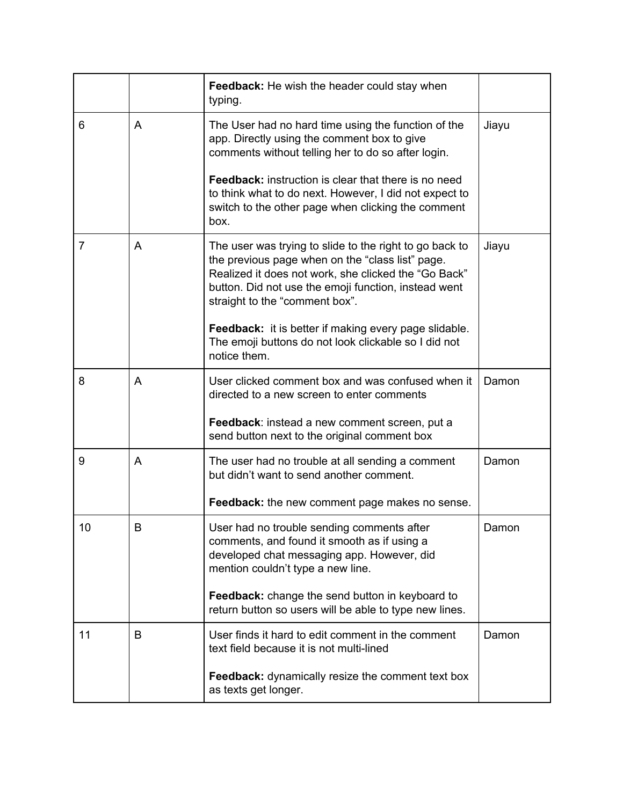|    |    | <b>Feedback:</b> He wish the header could stay when<br>typing.                                                                                                                                                                                                |       |
|----|----|---------------------------------------------------------------------------------------------------------------------------------------------------------------------------------------------------------------------------------------------------------------|-------|
| 6  | A  | The User had no hard time using the function of the<br>app. Directly using the comment box to give<br>comments without telling her to do so after login.                                                                                                      | Jiayu |
|    |    | <b>Feedback:</b> instruction is clear that there is no need<br>to think what to do next. However, I did not expect to<br>switch to the other page when clicking the comment<br>box.                                                                           |       |
| 7  | A  | The user was trying to slide to the right to go back to<br>the previous page when on the "class list" page.<br>Realized it does not work, she clicked the "Go Back"<br>button. Did not use the emoji function, instead went<br>straight to the "comment box". | Jiayu |
|    |    | Feedback: it is better if making every page slidable.<br>The emoji buttons do not look clickable so I did not<br>notice them.                                                                                                                                 |       |
| 8  | A  | User clicked comment box and was confused when it<br>directed to a new screen to enter comments                                                                                                                                                               | Damon |
|    |    | Feedback: instead a new comment screen, put a<br>send button next to the original comment box                                                                                                                                                                 |       |
| 9  | A  | The user had no trouble at all sending a comment<br>but didn't want to send another comment.                                                                                                                                                                  | Damon |
|    |    | Feedback: the new comment page makes no sense.                                                                                                                                                                                                                |       |
| 10 | B. | User had no trouble sending comments after<br>comments, and found it smooth as if using a<br>developed chat messaging app. However, did<br>mention couldn't type a new line.                                                                                  | Damon |
|    |    | Feedback: change the send button in keyboard to<br>return button so users will be able to type new lines.                                                                                                                                                     |       |
| 11 | B  | User finds it hard to edit comment in the comment<br>text field because it is not multi-lined                                                                                                                                                                 | Damon |
|    |    | Feedback: dynamically resize the comment text box<br>as texts get longer.                                                                                                                                                                                     |       |